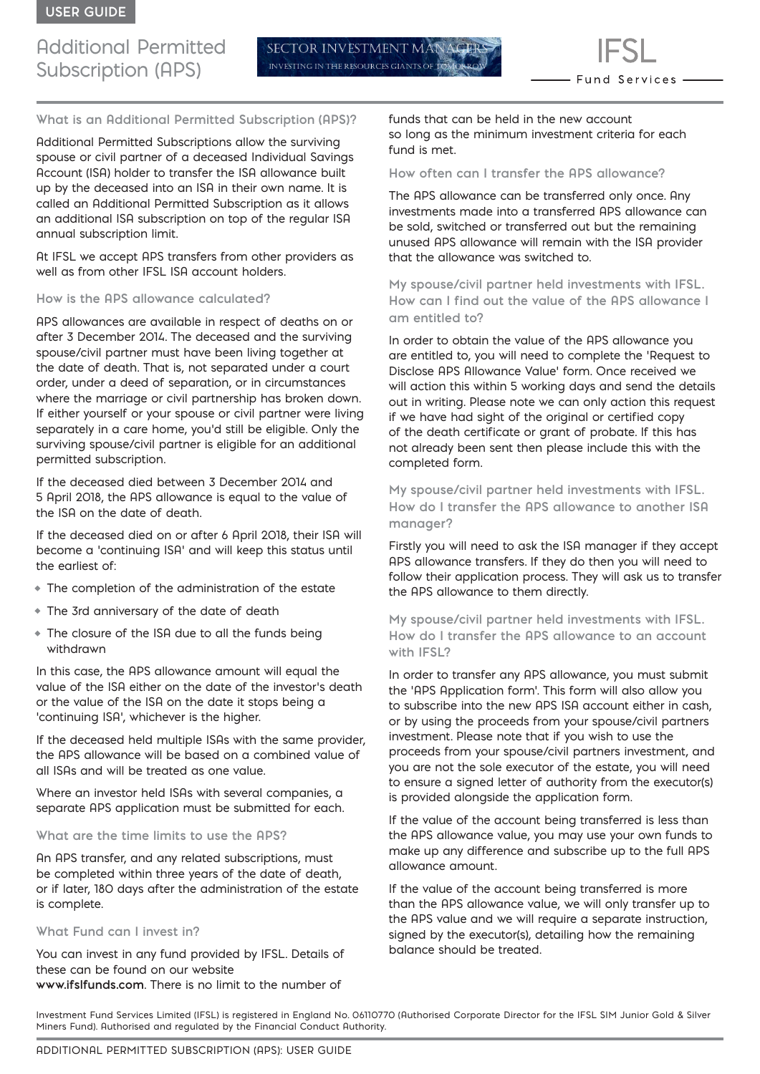# Additional Permitted Subscription (APS)

SECTOR INVESTMENT M. INVESTING IN THE RESOURCES GIANTS OF

**What is an Additional Permitted Subscription (APS)?**

Additional Permitted Subscriptions allow the surviving spouse or civil partner of a deceased Individual Savings Account (ISA) holder to transfer the ISA allowance built up by the deceased into an ISA in their own name. It is called an Additional Permitted Subscription as it allows an additional ISA subscription on top of the regular ISA annual subscription limit.

At IFSL we accept APS transfers from other providers as well as from other IFSL ISA account holders.

#### **How is the APS allowance calculated?**

APS allowances are available in respect of deaths on or after 3 December 2014. The deceased and the surviving spouse/civil partner must have been living together at the date of death. That is, not separated under a court order, under a deed of separation, or in circumstances where the marriage or civil partnership has broken down. If either yourself or your spouse or civil partner were living separately in a care home, you'd still be eligible. Only the surviving spouse/civil partner is eligible for an additional permitted subscription.

If the deceased died between 3 December 2014 and 5 April 2018, the APS allowance is equal to the value of the ISA on the date of death.

If the deceased died on or after 6 April 2018, their ISA will become a 'continuing ISA' and will keep this status until the earliest of:

- The completion of the administration of the estate
- The 3rd anniversary of the date of death
- The closure of the ISA due to all the funds being withdrawn

In this case, the APS allowance amount will equal the value of the ISA either on the date of the investor's death or the value of the ISA on the date it stops being a 'continuing ISA', whichever is the higher.

If the deceased held multiple ISAs with the same provider, the APS allowance will be based on a combined value of all ISAs and will be treated as one value.

Where an investor held ISAs with several companies, a separate APS application must be submitted for each.

#### **What are the time limits to use the APS?**

An APS transfer, and any related subscriptions, must be completed within three years of the date of death, or if later, 180 days after the administration of the estate is complete.

#### **What Fund can I invest in?**

You can invest in any fund provided by IFSL. Details of these can be found on our website **www.ifslfunds.com**. There is no limit to the number of

funds that can be held in the new account so long as the minimum investment criteria for each fund is met.

#### **How often can I transfer the APS allowance?**

The APS allowance can be transferred only once. Any investments made into a transferred APS allowance can be sold, switched or transferred out but the remaining unused APS allowance will remain with the ISA provider that the allowance was switched to.

**My spouse/civil partner held investments with IFSL. How can I find out the value of the APS allowance I am entitled to?**

In order to obtain the value of the APS allowance you are entitled to, you will need to complete the 'Request to Disclose APS Allowance Value' form. Once received we will action this within 5 working days and send the details out in writing. Please note we can only action this request if we have had sight of the original or certified copy of the death certificate or grant of probate. If this has not already been sent then please include this with the completed form.

**My spouse/civil partner held investments with IFSL. How do I transfer the APS allowance to another ISA manager?**

Firstly you will need to ask the ISA manager if they accept APS allowance transfers. If they do then you will need to follow their application process. They will ask us to transfer the APS allowance to them directly.

**My spouse/civil partner held investments with IFSL. How do I transfer the APS allowance to an account with IFSL?**

In order to transfer any APS allowance, you must submit the 'APS Application form'. This form will also allow you to subscribe into the new APS ISA account either in cash, or by using the proceeds from your spouse/civil partners investment. Please note that if you wish to use the proceeds from your spouse/civil partners investment, and you are not the sole executor of the estate, you will need to ensure a signed letter of authority from the executor(s) is provided alongside the application form.

If the value of the account being transferred is less than the APS allowance value, you may use your own funds to make up any difference and subscribe up to the full APS allowance amount.

If the value of the account being transferred is more than the APS allowance value, we will only transfer up to the APS value and we will require a separate instruction, signed by the executor(s), detailing how the remaining balance should be treated.

Investment Fund Services Limited (IFSL) is registered in England No. 06110770 (Authorised Corporate Director for the IFSL SIM Junior Gold & Silver Miners Fund). Authorised and regulated by the Financial Conduct Authority.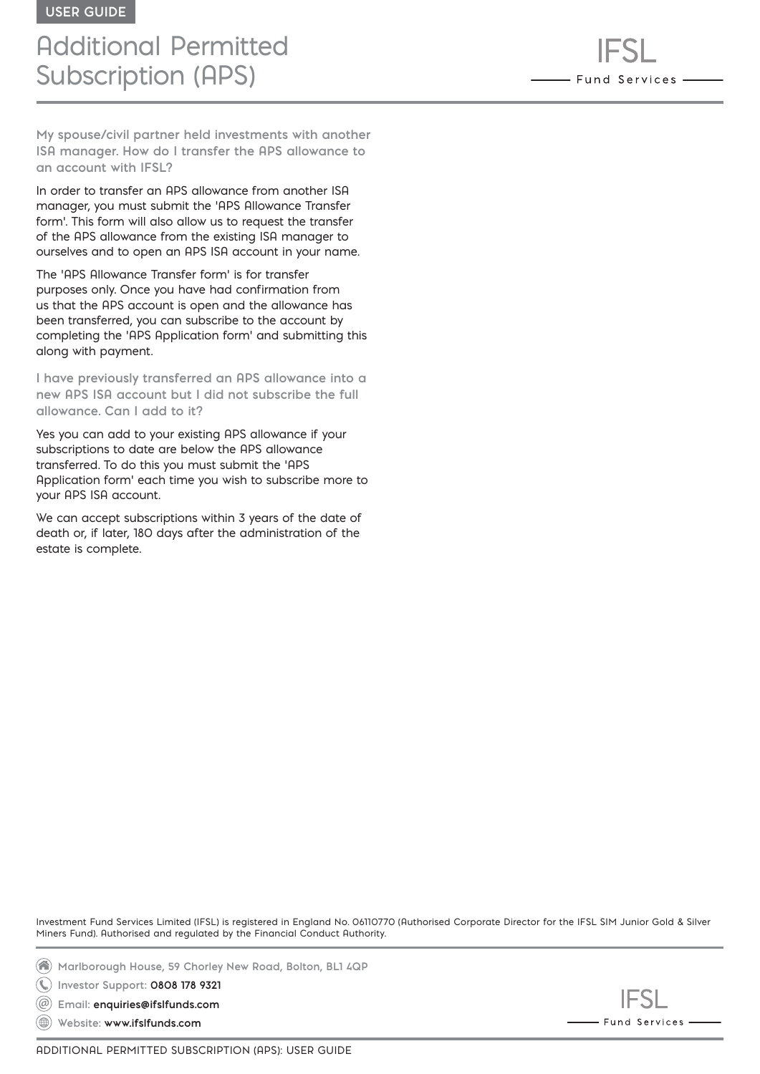# Additional Permitted Subscription (APS)

**My spouse/civil partner held investments with another ISA manager. How do I transfer the APS allowance to an account with IFSL?**

In order to transfer an APS allowance from another ISA manager, you must submit the 'APS Allowance Transfer form'. This form will also allow us to request the transfer of the APS allowance from the existing ISA manager to ourselves and to open an APS ISA account in your name.

The 'APS Allowance Transfer form' is for transfer purposes only. Once you have had confirmation from us that the APS account is open and the allowance has been transferred, you can subscribe to the account by completing the 'APS Application form' and submitting this along with payment.

**I have previously transferred an APS allowance into a new APS ISA account but I did not subscribe the full allowance. Can I add to it?**

Yes you can add to your existing APS allowance if your subscriptions to date are below the APS allowance transferred. To do this you must submit the 'APS Application form' each time you wish to subscribe more to your APS ISA account.

We can accept subscriptions within 3 years of the date of death or, if later, 180 days after the administration of the estate is complete.

Investment Fund Services Limited (IFSL) is registered in England No. 06110770 (Authorised Corporate Director for the IFSL SIM Junior Gold & Silver Miners Fund). Authorised and regulated by the Financial Conduct Authority.

**Marlborough House, 59 Chorley New Road, Bolton, BL1 4QP**

**Investor Support: 0808 178 9321**

**Email: enquiries@ifslfunds.com**  $(\circleda)$ 

**Website: www.ifslfunds.com**

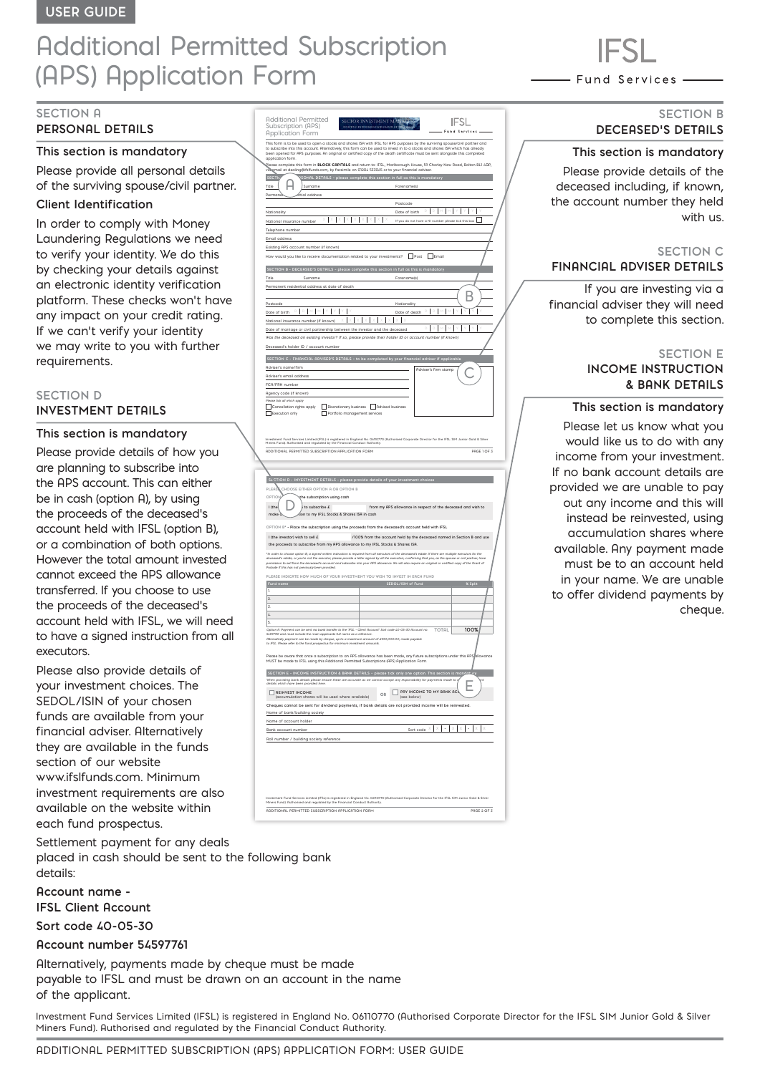# Additional Permitted Subscription (APS) Application Form

# **SECTION A**

# **PERSONAL DETAILS**

# **This section is mandatory**

Please provide all personal details of the surviving spouse/civil partner.

# **Client Identification**

In order to comply with Money Laundering Regulations we need to verify your identity. We do this by checking your details against an electronic identity verification platform. These checks won't have any impact on your credit rating. If we can't verify your identity we may write to you with further requirements.

#### **SECTION D INVESTMENT DETAILS**

#### **This section is mandatory**

Please provide details of how you are planning to subscribe into the APS account. This can either be in cash (option A), by using the proceeds of the deceased's account held with IFSL (option B), or a combination of both options. However the total amount invested cannot exceed the APS allowance transferred. If you choose to use the proceeds of the deceased's account held with IFSL, we will need to have a signed instruction from all executors.

Please also provide details of your investment choices. The SEDOL/ISIN of your chosen funds are available from your financial adviser. Alternatively they are available in the funds section of our website www.ifslfunds.com. Minimum investment requirements are also available on the website within each fund prospectus.

Settlement payment for any deals placed in cash should be sent to the following bank details:

**Account name - IFSL Client Account**

**Sort code 40-05-30** 

# **Account number 54597761**

Alternatively, payments made by cheque must be made payable to IFSL and must be drawn on an account in the name of the applicant.

Investment Fund Services Limited (IFSL) is registered in England No. 06110770 (Authorised Corporate Director for the IFSL SIM Junior Gold & Silver Miners Fund). Authorised and regulated by the Financial Conduct Authority.

Additional Permitted Subscription (APS) **IFSL Application Form** This form is to be used to open a stocks and shares ISA with IFSL for APS purposes by the surviving spouse/civil partner and to subscribe into this account. Alternatively, this form can be used to invest in to a stocks and shares ISA which has already been opened for APS purposes. An original or certified copy of the death certificate must be sent alongside this completed application form. Please complete this form in BLOCK CAPITALS and return to: IFSL, Marlborough House, 59 Chorley New Road, Bolton BL1 4QP, viā\email at dealing@ifslfunds.com, by facsimile on 01204 533045 or to your financial adviser **SECTIC** SONAL DETAILS - please complete this section in full as this is mandatory A Title  $\|\cdot\|$  / Surname Surname Surname Surname Surname Surname Surname Surname Surname Surname Surname Surname Surname Surname Surname Surname Surname Surname Surname Surname Surname Surname Surname Surname Surname Surnam Permanent residential address Postcode Nationality Date of birth **D D M M Y Y Y Y** National insurance number  $X \mid X \mid X \mid X \mid X \mid X \mid X \mid X$  If you do not have a NI number please tick this box Telephone numbe Email address Existing APS account number (if known) would you like to receive documentation related to your investments?  $\Box$  Post  $\Box$  Email  **SECTION B - DECEASED'S DETAILS – please complete this section in full as this is mandatory** Title Surname Forename(s) Permanent residential address at date of death B Postcode Nationality (Nationality of Nationality of Nationality of Nationality of Nationality of Nationality of Nationality (Nationality of Nationality of Nationality of Nationality of Nationality of Nationality of Nationa  $\blacksquare$   $\blacksquare$   $\blacksquare$   $\blacksquare$   $\blacksquare$   $\blacksquare$   $\blacksquare$   $\blacksquare$   $\blacksquare$   $\blacksquare$   $\blacksquare$   $\blacksquare$   $\blacksquare$   $\blacksquare$   $\blacksquare$   $\blacksquare$   $\blacksquare$   $\blacksquare$   $\blacksquare$   $\blacksquare$   $\blacksquare$   $\blacksquare$   $\blacksquare$   $\blacksquare$   $\blacksquare$   $\blacksquare$   $\blacksquare$   $\blacksquare$   $\blacksquare$   $\blacksquare$   $\blacksquare$   $\blacksquare$ **X X X X X X X X X** National insurance number (if known) **D D M M Y Y Y Y** Date of marriage or civil partnership between the investor and the deceased *Was the deceased an existing investor? If so, please provide their holder ID or account number (if known)* Deceased's holder ID / account number  **SECTION C - FINANCIAL ADVISER'S DETAILS – to be completed by your financial adviser if applicable** Adviser's name/firm C Adviser's firm stamp Adviser's email address FCA/FRN number Agency code (if known) *Please tick all which apply* Cancellation rights apply<br>  $\Box$  Cancellation rights apply<br>  $\Box$  Portfolio management service Exposure tion on the Discretion of the Portfolio management services and the Portfolio management services are the management services are the management services are the management services are the management services are Investment Fund Services Limited (IFSL) is registered in England No. 06110770 (Authorised Corporate Director for the IFSL SIM Junior Gold & Silver Miners Fund). Authorised and regulated by the Financial Conduct Authority. ADDITIONAL PERMITTED SUBSCRIPTION APPLICATION FORM PAGE 1 OF 3 **SECTION DETAILS - please provide PLEASE CHOOSE EITHER OPTION A OR OPTION B OPTION - Subscription using cash** D **I** (the investor) it is ubscribe  $\hat{E}$  from my APS allowance in respect of the deceased and wish to make  $\alpha$  subscription to my IFSL Stocks & Shares ISA in cash **OPTION B\* - Place the subscription using the proceeds from the deceased's account held with IFSL I (the investor) wish to sell £ /100% from the account held by the deceased named in Section B and use the proceeds to subscribe from my APS allowance to my IFSL Stocks & Shares ISA.** *\*In order to choose option B, a signed written instruction is required from all executors of the deceased's estate. If there are multiple executors for the deceased's estate, or you're not the executor, please provide a letter signed by all the executors, confirming that you, as the spouse or civil partner, have permission to sell from the deceased's account and subscribe into your APS allowance. We will also require an original or certified copy of the Grant of Probate if this has not previously been provided.* **PLEASE INDICATE HOW MUCH OF YOUR INVESTMENT YOU WISH TO INVEST IN EACH FUND Fund name SEDOL/ISIN of Fund % Split** 3. 4.

| S.                                                                                                                                                                                      |                                                                                                                                   |
|-----------------------------------------------------------------------------------------------------------------------------------------------------------------------------------------|-----------------------------------------------------------------------------------------------------------------------------------|
| Option R Payment can be sent via bank transfer to the 'IFSL - Client Rccount' Sort code 40-05-30 Rccount no.<br>54597761 and must include the main applicants full name as a reference. | 100%<br><b>TOTAL</b>                                                                                                              |
| Alternatively payment can be made by cheque, up to a maximum amount of £100.000.00, made payable                                                                                        |                                                                                                                                   |
| to IFSL. Please refer to the fund prospectus for minimum investment amounts.                                                                                                            |                                                                                                                                   |
|                                                                                                                                                                                         |                                                                                                                                   |
|                                                                                                                                                                                         | Please be aware that once a subscription to an APS allowance has been made, any future subscriptions under this APS/allowance     |
| MUST be made to IFSL using this Additional Permitted Subscriptions (APS) Application Form.                                                                                              |                                                                                                                                   |
|                                                                                                                                                                                         |                                                                                                                                   |
|                                                                                                                                                                                         |                                                                                                                                   |
|                                                                                                                                                                                         | SECTION E - INCOME INSTRUCTION & BANK DETAILS - please tick only one option. This section is mandatury                            |
| details which have been provided here.                                                                                                                                                  | When providing bank details please ensure these are accurate as we cannot accept any responsibility for payments made to is<br>mt |
|                                                                                                                                                                                         | ⊢                                                                                                                                 |
| <b>DEINVEST INCOME</b>                                                                                                                                                                  | PRY INCOME TO MY RANK ACA<br>OR                                                                                                   |
| (accumulation shares will be used where available)                                                                                                                                      | (see below)                                                                                                                       |
|                                                                                                                                                                                         | Cheques cannot be sent for dividend payments, if bank details are not provided income will be reinvested.                         |
|                                                                                                                                                                                         |                                                                                                                                   |
| Name of bank/building society                                                                                                                                                           |                                                                                                                                   |
| Name of account holder                                                                                                                                                                  |                                                                                                                                   |
| Bank account number                                                                                                                                                                     | Sort code X                                                                                                                       |
| Roll number / building society reference                                                                                                                                                |                                                                                                                                   |
|                                                                                                                                                                                         |                                                                                                                                   |
|                                                                                                                                                                                         |                                                                                                                                   |
|                                                                                                                                                                                         |                                                                                                                                   |
|                                                                                                                                                                                         |                                                                                                                                   |
|                                                                                                                                                                                         |                                                                                                                                   |
|                                                                                                                                                                                         |                                                                                                                                   |
|                                                                                                                                                                                         |                                                                                                                                   |
|                                                                                                                                                                                         |                                                                                                                                   |
|                                                                                                                                                                                         |                                                                                                                                   |
|                                                                                                                                                                                         |                                                                                                                                   |

ADDITIONAL PERMITTED SUBSCRIPTION APPLICATION FORM PAGE 2 OF 3

Investment Fund Services Limited (IFSL) is registered in England No. 06110770 (Authorised Corporate Director for the IFSL SIM Junior Gold & Silver

Miners Fund). Authorised and regulated by the Financial Conduct Authority.

- Fund Services -

# **SECTION B DECEASED'S DETAILS**

#### **This section is mandatory**

Please provide details of the deceased including, if known, the account number they held with us.

#### **SECTION C FINANCIAL ADVISER DETAILS**

If you are investing via a financial adviser they will need to complete this section.

# **SECTION E**

# **INCOME INSTRUCTION & BANK DETAILS**

#### **This section is mandatory**

Please let us know what you would like us to do with any income from your investment. If no bank account details are provided we are unable to pay out any income and this will instead be reinvested, using accumulation shares where available. Any payment made must be to an account held in your name. We are unable to offer dividend payments by cheque.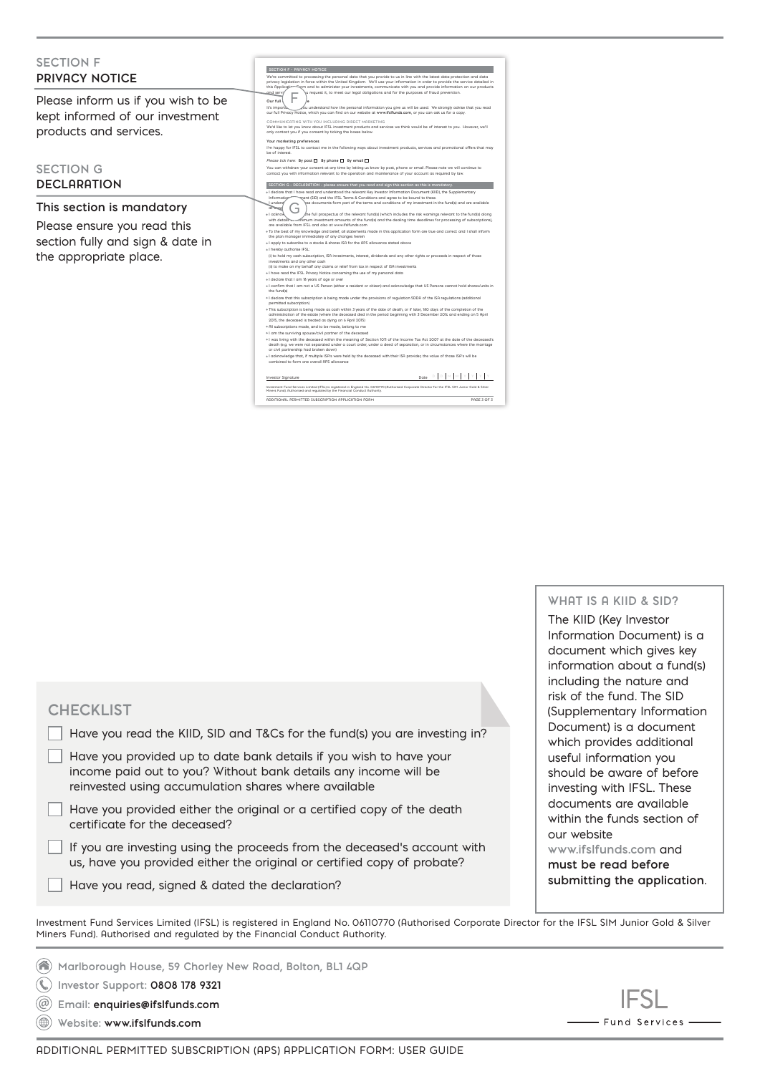| <b>SECTION F</b><br><b>PRIVACY NOTICE</b>                                                                              | <b>SECTION F - PRIVACY NOTICE</b><br>We're committed to processing the personal data that you provide to us in line with the latest data protection and data<br>privacy legislation in force within the United Kingdom. We'll use your information in order to provide the service detailed in<br>this Applicati-<br>erm and to administer your investments, communicate with you and provide information on our products                                                                                                                                                                                                                                                                                                                                                                                                                                                                                                                                                                                                                                                                                                                                                                                                                                                                                                                                                                                                                                                                                                                                                                                                                                                                                                                                                                                                                                                                                                                                                                                                                                                                                                                                                                                                                                                                                                                                                                                                                                                                                                       |
|------------------------------------------------------------------------------------------------------------------------|---------------------------------------------------------------------------------------------------------------------------------------------------------------------------------------------------------------------------------------------------------------------------------------------------------------------------------------------------------------------------------------------------------------------------------------------------------------------------------------------------------------------------------------------------------------------------------------------------------------------------------------------------------------------------------------------------------------------------------------------------------------------------------------------------------------------------------------------------------------------------------------------------------------------------------------------------------------------------------------------------------------------------------------------------------------------------------------------------------------------------------------------------------------------------------------------------------------------------------------------------------------------------------------------------------------------------------------------------------------------------------------------------------------------------------------------------------------------------------------------------------------------------------------------------------------------------------------------------------------------------------------------------------------------------------------------------------------------------------------------------------------------------------------------------------------------------------------------------------------------------------------------------------------------------------------------------------------------------------------------------------------------------------------------------------------------------------------------------------------------------------------------------------------------------------------------------------------------------------------------------------------------------------------------------------------------------------------------------------------------------------------------------------------------------------------------------------------------------------------------------------------------------------|
| Please inform us if you wish to be<br>kept informed of our investment<br>products and services.                        | and servir<br>u request it, to meet our legal obligations and for the purposes of fraud prevention.<br>Our full<br>It's importo<br>ou understand how the personal information you give us will be used. We strongly advise that you read(<br>our full Privacy Notice, which you can find on our website at www.ifsifunds.com, or you can ask us for a copy.<br>COMMUNICATING WITH YOU INCLUDING DIRECT MARKETING<br>We'd like to let you know about IFSL investment products and services we think would be of interest to you. However, we'll<br>only contact you if you consent by ticking the boxes below.<br>Your marketing preferences<br>I'm happy for IFSL to contact me in the following ways about investment products, services and promotional offers that may<br>be of interest.                                                                                                                                                                                                                                                                                                                                                                                                                                                                                                                                                                                                                                                                                                                                                                                                                                                                                                                                                                                                                                                                                                                                                                                                                                                                                                                                                                                                                                                                                                                                                                                                                                                                                                                                    |
| <b>SECTION G</b><br><b>DECLARATION</b>                                                                                 | Please tick here: By post   By phone   By email  <br>You can withdraw your consent at any time by letting us know by post, phone or email. Please note we will continue to<br>contact you with information relevant to the operation and maintenance of your account as required by law.<br>SECTION G - DECLARATION - please ensure that you read and sign this section as this is mandatory.<br>. I declare that I have read and understood the relevant Key Investor Information Document (KIID), the Supplementary                                                                                                                                                                                                                                                                                                                                                                                                                                                                                                                                                                                                                                                                                                                                                                                                                                                                                                                                                                                                                                                                                                                                                                                                                                                                                                                                                                                                                                                                                                                                                                                                                                                                                                                                                                                                                                                                                                                                                                                                           |
| This section is mandatory<br>Please ensure you read this<br>section fully and sign & date in<br>the appropriate place. | nent (SID) and the IFSL Terms & Conditions and agree to be bound to these.<br>Information<br>ese documents form part of the terms and conditions of my investment in the fund(s) and are available<br>underst<br>of Wess<br>* I acknow<br>the full prospectus of the relevant fund(s) (which includes the risk warnings relevant to the fund(s) along/<br>etifimum investment amounts of the fund(s) and the dealing time deadlines for processing of subscriptions),<br>with details<br>are available from IFSL and also at www.ifslfunds.com<br>. To the best of my knowledge and belief, all statements made in this application form are true and correct and I shall inform<br>the plan manager immediately of any changes herein<br>+1 apply to subscribe to a stocks & shares ISA for the APS allowance stated above<br>. I hereby authorise IFSL:<br>(i) to hold my cash subscription, ISA investments, interest, dividends and any other rights or proceeds in respect of those<br>investments and any other cash<br>(ii) to make on my behalf any claims or relief from tax in respect of ISA investments<br>« I have read the IFSL Privacy Notice concerning the use of my personal data<br>+ I declare that I am 18 years of age or over<br>. I confirm that I am not a US Person (either a resident or citizen) and acknowledge that US Persons cannot hold shares/units in<br>the fund(s)<br>+1 declare that this subscription is being made under the provisions of regulation SDDA of the ISA regulations (additional<br>permitted subscription)<br>. This subscription is being made as cash within 3 years of the date of death, or if later, 180 days of the completion of the<br>administration of the estate (where the deceased died in the period beginning with 3 December 2014 and ending on 5 April<br>2015, the deceased is treated as dying on 6 April 2015)<br>* All subscriptions made, and to be made, belong to me<br>« I am the surviving spouse/civil partner of the deceased<br>. I was living with the deceased within the meaning of Section 1011 of the Income Tax Act 2007 at the date of the deceased's<br>death (e.g. we were not separated under a court order, under a deed of separation, or in circumstances where the marriage<br>or civil partnership had broken down)<br>. I acknowledge that, if multiple ISA's were held by the deceased with their ISA provider, the value of those ISA's will be<br>combined to form one overall QPS allowance<br>is his hot of other hot o |

 $\blacksquare$ Dote  $\begin{bmatrix} \square & \square & \square & \square & \top \end{bmatrix} \begin{bmatrix} \triangledown & \square & \square & \top \end{bmatrix} \begin{bmatrix} \triangledown & \square & \top \end{bmatrix} \begin{bmatrix} \triangledown & \square & \top \end{bmatrix} \begin{bmatrix} \triangledown & \square & \top \end{bmatrix} \begin{bmatrix} \triangledown & \square & \top \end{bmatrix}$ ADDITIONAL PERMITTED SUBSCRIPTION APPLICATION FORM PAGE 3 OF 3 Investment Fund Services Limited (IFSL) is registered in England No. 06110770 (Authorised Corporate Director for the IFSL SIM Junior Gold & Silver Miners Fund). Authorised and regulated by the Financial Conduct Authority.

**WHAT IS A KIID & SID?**

The KIID (Key Investor Information Document) is a document which gives key information about a fund(s) including the nature and risk of the fund. The SID (Supplementary Information Document) is a document which provides additional useful information you should be aware of before investing with IFSL. These documents are available within the funds section of our website **www.ifslfunds.com** and

**must be read before submitting the application**.

Investment Fund Services Limited (IFSL) is registered in England No. 06110770 (Authorised Corporate Director for the IFSL SIM Junior Gold & Silver Miners Fund). Authorised and regulated by the Financial Conduct Authority.

**Marlborough House, 59 Chorley New Road, Bolton, BL1 4QP Investor Support: 0808 178 9321**

Have you read, signed & dated the declaration?

**Email: enquiries@ifslfunds.com**

certificate for the deceased?

**Website: www.ifslfunds.com**

**CHECKLIST**



Have you read the KIID, SID and T&Cs for the fund(s) you are investing in?

Have you provided up to date bank details if you wish to have your income paid out to you? Without bank details any income will be

Have you provided either the original or a certified copy of the death

If you are investing using the proceeds from the deceased's account with us, have you provided either the original or certified copy of probate?

reinvested using accumulation shares where available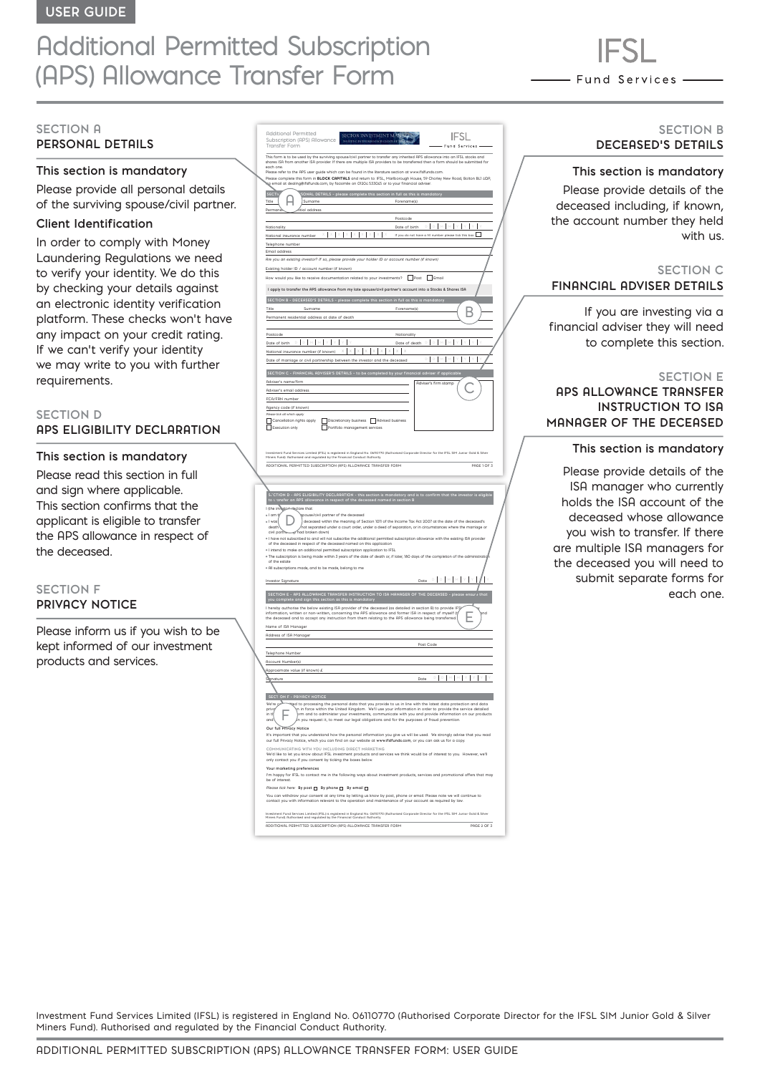# Additional Permitted Subscription (APS) Allowance Transfer Form

- Fund Services -

# **SECTION A PERSONAL DETAILS**

# **This section is mandatory**

Please provide all personal details of the surviving spouse/civil partner.

# **Client Identification**

In order to comply with Money Laundering Regulations we need to verify your identity. We do this by checking your details against an electronic identity verification platform. These checks won't have any impact on your credit rating. If we can't verify your identity we may write to you with further requirements.

# **SECTION D APS ELIGIBILITY DECLARATION**

#### **This section is mandatory**

Please read this section in full and sign where applicable. This section confirms that the applicant is eligible to transfer the APS allowance in respect of the deceased.

# **SECTION F PRIVACY NOTICE**

Please inform us if you wish to be kept informed of our investment products and services.

| Hdditional Permitted<br>SECTOR INVESTMENT<br>Subscription (APS) Allowance<br>ISTING IN THE RESOURCES GALNES<br>Fund Services                                                                                                                                                                                                 |
|------------------------------------------------------------------------------------------------------------------------------------------------------------------------------------------------------------------------------------------------------------------------------------------------------------------------------|
| Transfer Form<br>This form is to be used by the surviving spouse/civil partner to transfer any inherited APS allowance into an IFSL stocks and                                                                                                                                                                               |
| shares ISA from another ISA provider. If there are multiple ISA providers to be transferred then a form should be submitted for<br>each one.<br>Please refer to the APS user guide which can be found in the literature section at www.ifsIfunds.com.                                                                        |
| Please complete this form in <b>BLOCK CAPITALS</b> and return to: IFSL, Marlborough House, 59 Chorley New Road, Bolton BL1 4QP,<br>lig email at dealing@ifsIfunds.com, by facsimile on 01204 533045 or to your financial adviser.                                                                                            |
| <b>SECTI</b><br>SONAL DETAILS - please complete this section in full as this is mandatory                                                                                                                                                                                                                                    |
| Surname<br>Title<br>Forename(s)<br>tial address<br>Perman                                                                                                                                                                                                                                                                    |
| Postcode<br>b.                                                                                                                                                                                                                                                                                                               |
| Date of birth<br>Nationality<br>If you do not have a NI number please tick this box<br>National insurance number                                                                                                                                                                                                             |
| Telephone number<br>Email address                                                                                                                                                                                                                                                                                            |
| Are you an existing investor? If so, please provide your holder ID or account number (if known)                                                                                                                                                                                                                              |
| Existing holder ID / account number (if known)<br>How would you like to receive documentation related to your investments? Post Figures                                                                                                                                                                                      |
| I apply to transfer the APS allowance from my late spouse/civil partner's account into a Stocks & Shares ISA                                                                                                                                                                                                                 |
| SECTION B - DECERSED'S DETAILS - please complete this section in full as this is mandatory                                                                                                                                                                                                                                   |
| Title<br>Surname<br>Forename(s)<br>Permanent residential address at date of death                                                                                                                                                                                                                                            |
| Nationality<br>Postcode                                                                                                                                                                                                                                                                                                      |
| Date of birth $\Box$ $\Box$ $\Box$ $\Box$ $\Box$<br>Y<br>Date of death                                                                                                                                                                                                                                                       |
| $x \times x \times x$<br>National insurance number (if known)<br>X<br>Date of marriage or civil partnership between the investor and the deceased                                                                                                                                                                            |
| SECTION C - FINANCIAL ADVISER'S DETAILS - to be completed by your financial adviser if applicabl                                                                                                                                                                                                                             |
| Adviser's name/firm<br>Adviser's firm stamp                                                                                                                                                                                                                                                                                  |
| Adviser's email address<br>FCA/FRN number                                                                                                                                                                                                                                                                                    |
| Agency code (if known)<br>Please tick all which apply                                                                                                                                                                                                                                                                        |
| Cancellation rights apply<br>Discretionary business Advised business<br>Portfolio management services<br>ſ<br>Execution only<br>г                                                                                                                                                                                            |
|                                                                                                                                                                                                                                                                                                                              |
| stiment Fund Services Limited (IFSL) is registered in England No. 06110770 (Authorised Corporate Director for the IFSL SIM Junior Gold & Silver<br>Iers Fund). Authorised and regulated by the Financial Conduct Authority.                                                                                                  |
| ADDITIONAL PERMITTED SUBSCRIPTION (APS) ALLOWANCE TRANSFER FORM<br>PAGE 1 OF 3                                                                                                                                                                                                                                               |
|                                                                                                                                                                                                                                                                                                                              |
|                                                                                                                                                                                                                                                                                                                              |
|                                                                                                                                                                                                                                                                                                                              |
| CTION D - APS ELIGIBILITY DECLARATION - this section is mandatory and is to confirm that the investor is eligible<br>L'ansfer an APS allowance in respect of the deceased named in section B<br>I (the invest<br>eclare that                                                                                                 |
| + I am t<br>pouse/civil partner of the deceased<br>deceased within the meaning of Section 1011 of the Income Tax Act 2007 at the date of the deceased's<br>· I was                                                                                                                                                           |
| death<br>hot separated under a court order, under a deed of separation, or in circumstances where the marriage or/<br>civil partites and had broken down)                                                                                                                                                                    |
| . I have not subscribed to and will not subscribe the additional permitted subscription allowance with the existing ISA provider<br>of the deceased in respect of the deceased named on this application<br>· I intend to make an additional permitted subscription application to IFSL                                      |
| * The subscription is being made within 3 years of the date of death or, if later, 180 days of the completion of the administration<br>of the estate                                                                                                                                                                         |
| * All subscriptions made, and to be made, belong to me                                                                                                                                                                                                                                                                       |
| $\textbf{Date} \quad \mathbb{D} \quad \mathbb{D} \quad \mathbb{M} \quad \mathbb{M} \quad \mathbb{V} \quad \mathbb{V}$<br><b>Investor Signature</b>                                                                                                                                                                           |
| SECTION E - APS ALLOWANCE TRANSFER INSTRUCTION TO ISA MANAGER OF THE DECEASED - please ensure that                                                                                                                                                                                                                           |
| I hereby authorise the below existing ISA provider of the deceased (as detailed in section B) to provide IFŞ<br>information, written or non-written, concerning the APS allowance and former ISA in respect of myself (the deceased and to accept any instruction from them relating to the APS allowance being transferred. |
| Name of ISA Manager                                                                                                                                                                                                                                                                                                          |
| Address of ISA Manager<br>Post Code                                                                                                                                                                                                                                                                                          |
| Telephone Number                                                                                                                                                                                                                                                                                                             |
| <b>Account Number(s)</b><br>Approximate value (if known) £                                                                                                                                                                                                                                                                   |
| Date<br>Slignature                                                                                                                                                                                                                                                                                                           |
| SECTION F - PRIVACY NOTH                                                                                                                                                                                                                                                                                                     |
| we're g<br>n in force within the United Kingdom. We'll use your information in order to provide the service detailed<br>priv<br>in th<br>orm and to administer your investments, communicate with you and provide information on our products                                                                                |
| n you request it, to meet our legal obligations and for the purposes of fraud prevention.<br>and<br>Our full Privacy Notice                                                                                                                                                                                                  |
| It's important that you understand how the personal information you give us will be used. We strongly advise that you read<br>our full Privacy Notice, which you can find on our website at www.ifsifunds.com, or you can ask us for a copy.                                                                                 |
| COMMUNICATING WITH YOU INCLUDING DIRECT MARKETING<br>We'd like to let you know about IFSL investment products and services we think would be of interest to you. However, we'll                                                                                                                                              |
| only contact you if you consent by ticking the boxes below.<br>Your marketing preferences                                                                                                                                                                                                                                    |
| I'm happy for IFSL to contact me in the following ways about investment products, services and promotional offers that may<br>be of interest.                                                                                                                                                                                |
| Please tick here: By post □ By phone □ By email □<br>You can withdraw your consent at any time by letting us know by post, phone or email. Please note we will continue to                                                                                                                                                   |
| contact you with information relevant to the operation and maintenance of your account as required by law.                                                                                                                                                                                                                   |
| Investment Fund Services Limited (IFSL) is registered in England No. 06110770 (Ruthorised Corporate Director for the IFSL SIM Junior Gold & Silver<br>Miners Fund). Authorised and regulated by the Financial Conduct Ruthority.<br>ADDITIONAL PERMITTED SUBSCRIPTION (APS) ALLOWANCE TRANSFER FORM<br>PAGE 2 OF 3           |

 $\overline{1}$ 

# **SECTION B DECEASED'S DETAILS**

# **This section is mandatory**

Please provide details of the deceased including, if known, the account number they held with us.

# **SECTION C FINANCIAL ADVISER DETAILS**

If you are investing via a financial adviser they will need to complete this section.

#### **SECTION E**

**APS ALLOWANCE TRANSFER INSTRUCTION TO ISA MANAGER OF THE DECEASED**

#### **This section is mandatory**

Please provide details of the ISA manager who currently holds the ISA account of the deceased whose allowance you wish to transfer. If there are multiple ISA managers for the deceased you will need to submit separate forms for each one.

Investment Fund Services Limited (IFSL) is registered in England No. 06110770 (Authorised Corporate Director for the IFSL SIM Junior Gold & Silver Miners Fund). Authorised and regulated by the Financial Conduct Authority.